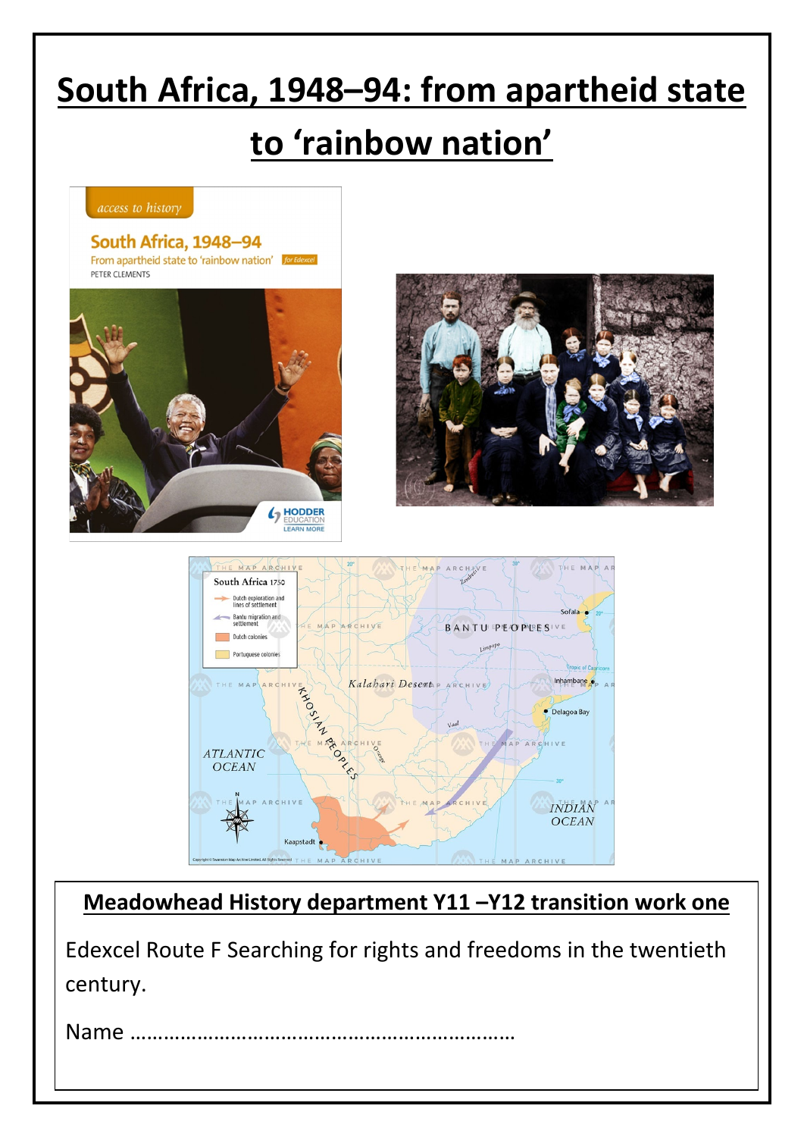# **South Africa, 1948–94: from apartheid state**

# **to 'rainbow nation'**







### **Meadowhead History department Y11 –Y12 transition work one**

Edexcel Route F Searching for rights and freedoms in the twentieth century.

Name ……………………………………………………………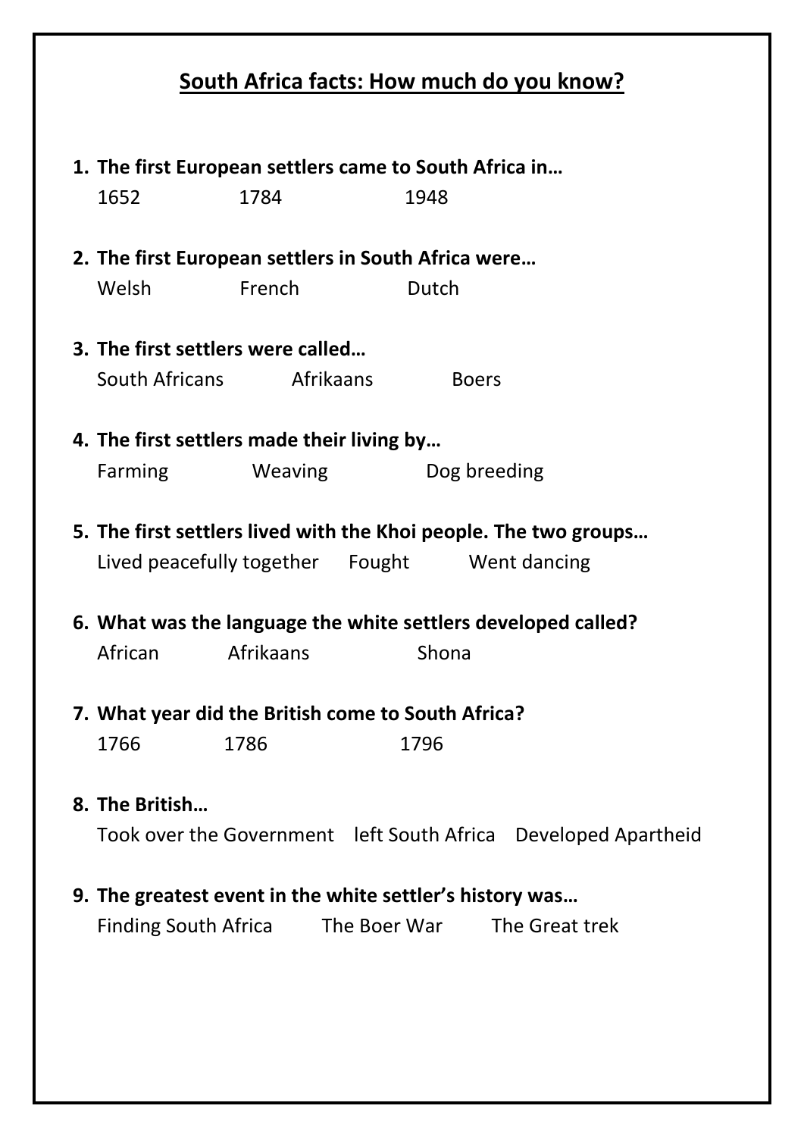## **South Africa facts: How much do you know?**

| 1. The first European settlers came to South Africa in |                                                     |                                                                  |  |
|--------------------------------------------------------|-----------------------------------------------------|------------------------------------------------------------------|--|
| 1652                                                   | 1784                                                | 1948                                                             |  |
|                                                        |                                                     |                                                                  |  |
|                                                        | 2. The first European settlers in South Africa were |                                                                  |  |
| Welsh                                                  | <b>Exerch</b>                                       | Dutch                                                            |  |
|                                                        |                                                     |                                                                  |  |
|                                                        | 3. The first settlers were called                   |                                                                  |  |
|                                                        | South Africans Afrikaans                            | <b>Example Boers</b>                                             |  |
|                                                        |                                                     |                                                                  |  |
|                                                        | 4. The first settlers made their living by          |                                                                  |  |
| Farming                                                | <b>Weaving</b>                                      | Dog breeding                                                     |  |
|                                                        |                                                     |                                                                  |  |
|                                                        |                                                     | 5. The first settlers lived with the Khoi people. The two groups |  |
|                                                        |                                                     | Lived peacefully together Fought Went dancing                    |  |
|                                                        |                                                     |                                                                  |  |
|                                                        |                                                     | 6. What was the language the white settlers developed called?    |  |
| African                                                | Afrikaans                                           | Shona                                                            |  |
|                                                        |                                                     |                                                                  |  |
|                                                        | 7. What year did the British come to South Africa?  |                                                                  |  |
| 1766                                                   | 1786                                                | 1796                                                             |  |
|                                                        |                                                     |                                                                  |  |
| 8. The British                                         |                                                     |                                                                  |  |
|                                                        |                                                     | Took over the Government left South Africa Developed Apartheid   |  |
|                                                        |                                                     |                                                                  |  |
|                                                        |                                                     | 9. The greatest event in the white settler's history was         |  |
| <b>Finding South Africa</b>                            |                                                     | The Boer War The Great trek                                      |  |
|                                                        |                                                     |                                                                  |  |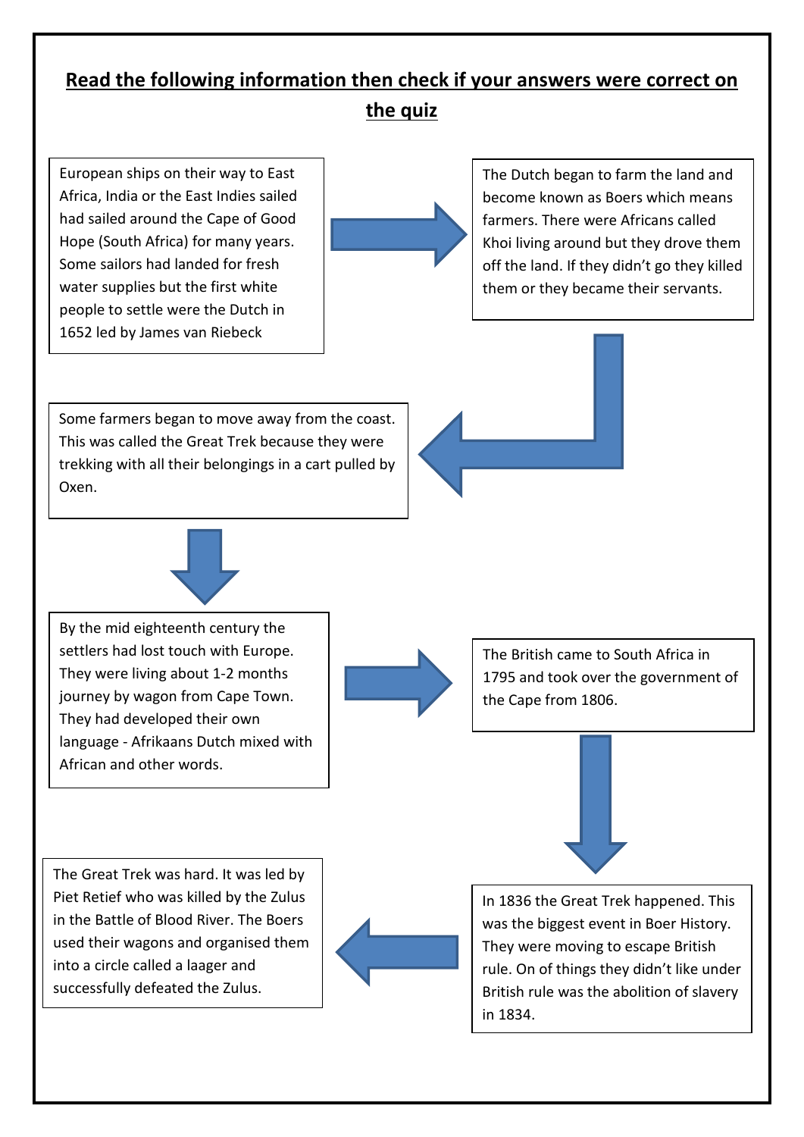# **Read the following information then check if your answers were correct on**

**the quiz**

European ships on their way to East Africa, India or the East Indies sailed had sailed around the Cape of Good Hope (South Africa) for many years. Some sailors had landed for fresh water supplies but the first white people to settle were the Dutch in 1652 led by James van Riebeck

The Dutch began to farm the land and become known as Boers which means farmers. There were Africans called Khoi living around but they drove them off the land. If they didn't go they killed them or they became their servants.

Some farmers began to move away from the coast. This was called the Great Trek because they were trekking with all their belongings in a cart pulled by Oxen.





By the mid eighteenth century the settlers had lost touch with Europe. They were living about 1-2 months journey by wagon from Cape Town. They had developed their own language - Afrikaans Dutch mixed with African and other words.



The British came to South Africa in 1795 and took over the government of the Cape from 1806.





In 1836 the Great Trek happened. This was the biggest event in Boer History. They were moving to escape British rule. On of things they didn't like under British rule was the abolition of slavery in 1834.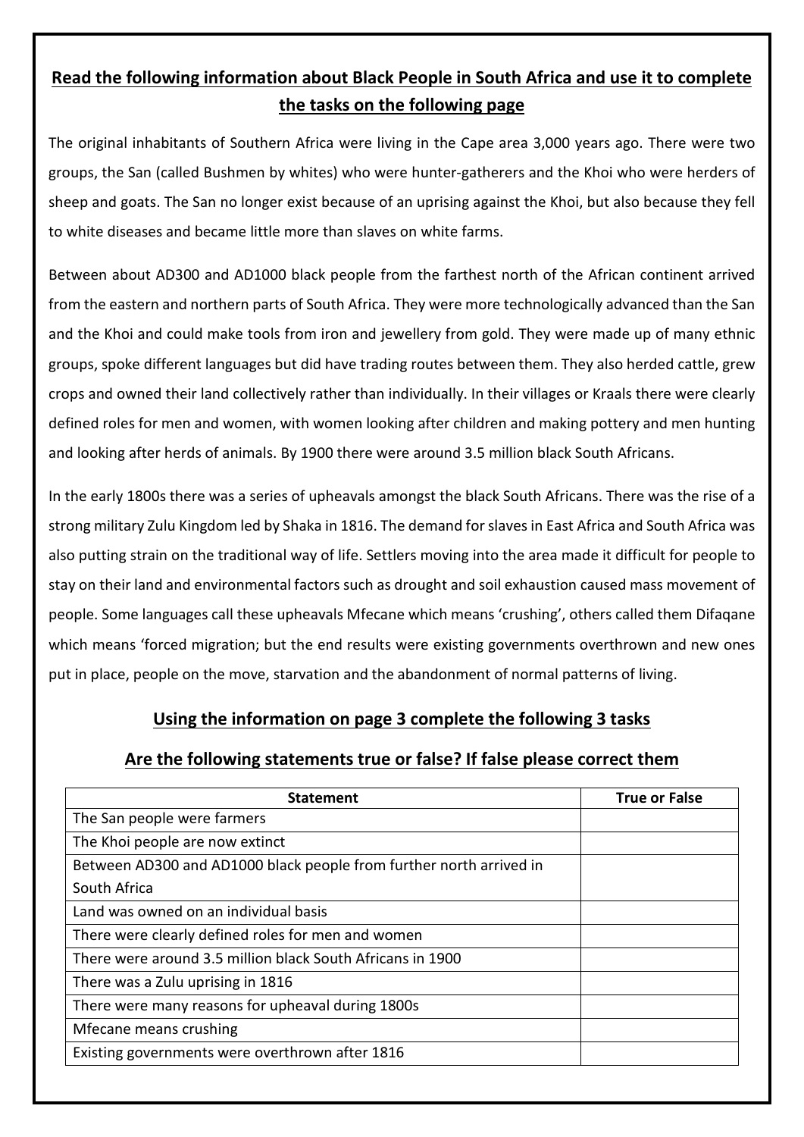#### **Read the following information about Black People in South Africa and use it to complete the tasks on the following page**

The original inhabitants of Southern Africa were living in the Cape area 3,000 years ago. There were two groups, the San (called Bushmen by whites) who were hunter-gatherers and the Khoi who were herders of sheep and goats. The San no longer exist because of an uprising against the Khoi, but also because they fell to white diseases and became little more than slaves on white farms.

Between about AD300 and AD1000 black people from the farthest north of the African continent arrived from the eastern and northern parts of South Africa. They were more technologically advanced than the San and the Khoi and could make tools from iron and jewellery from gold. They were made up of many ethnic groups, spoke different languages but did have trading routes between them. They also herded cattle, grew crops and owned their land collectively rather than individually. In their villages or Kraals there were clearly defined roles for men and women, with women looking after children and making pottery and men hunting and looking after herds of animals. By 1900 there were around 3.5 million black South Africans.

In the early 1800s there was a series of upheavals amongst the black South Africans. There was the rise of a strong military Zulu Kingdom led by Shaka in 1816. The demand for slaves in East Africa and South Africa was also putting strain on the traditional way of life. Settlers moving into the area made it difficult for people to stay on their land and environmental factors such as drought and soil exhaustion caused mass movement of people. Some languages call these upheavals Mfecane which means 'crushing', others called them Difaqane which means 'forced migration; but the end results were existing governments overthrown and new ones put in place, people on the move, starvation and the abandonment of normal patterns of living.

#### **Using the information on page 3 complete the following 3 tasks**

#### **Are the following statements true or false? If false please correct them**

| <b>Statement</b>                                                    | <b>True or False</b> |
|---------------------------------------------------------------------|----------------------|
| The San people were farmers                                         |                      |
| The Khoi people are now extinct                                     |                      |
| Between AD300 and AD1000 black people from further north arrived in |                      |
| South Africa                                                        |                      |
| Land was owned on an individual basis                               |                      |
| There were clearly defined roles for men and women                  |                      |
| There were around 3.5 million black South Africans in 1900          |                      |
| There was a Zulu uprising in 1816                                   |                      |
| There were many reasons for upheaval during 1800s                   |                      |
| Mfecane means crushing                                              |                      |
| Existing governments were overthrown after 1816                     |                      |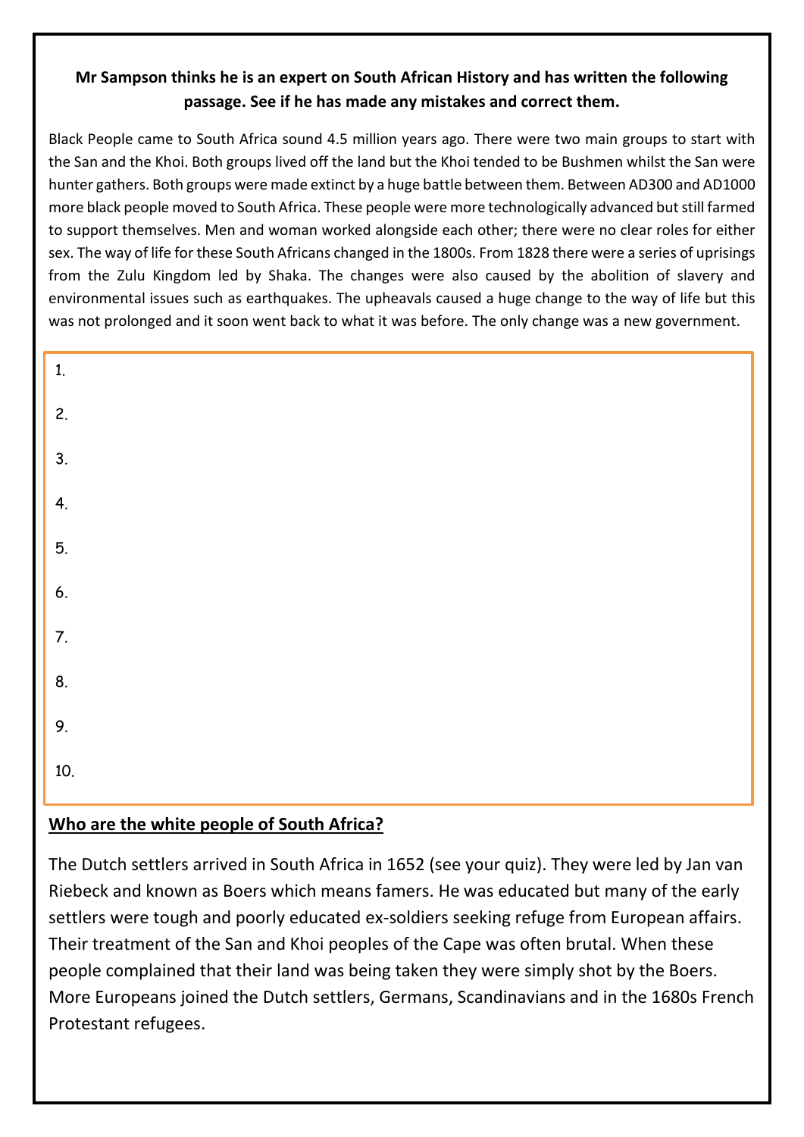#### **Mr Sampson thinks he is an expert on South African History and has written the following passage. See if he has made any mistakes and correct them.**

Black People came to South Africa sound 4.5 million years ago. There were two main groups to start with the San and the Khoi. Both groups lived off the land but the Khoi tended to be Bushmen whilst the San were hunter gathers. Both groups were made extinct by a huge battle between them. Between AD300 and AD1000 more black people moved to South Africa. These people were more technologically advanced but still farmed to support themselves. Men and woman worked alongside each other; there were no clear roles for either sex. The way of life for these South Africans changed in the 1800s. From 1828 there were a series of uprisings from the Zulu Kingdom led by Shaka. The changes were also caused by the abolition of slavery and environmental issues such as earthquakes. The upheavals caused a huge change to the way of life but this was not prolonged and it soon went back to what it was before. The only change was a new government.

| 1.               |  |  |
|------------------|--|--|
| 2.               |  |  |
| $\overline{3}$ . |  |  |
| 4.               |  |  |
| 5.               |  |  |
| 6.               |  |  |
| 7.               |  |  |
| 8.               |  |  |
| 9.               |  |  |
| 10.              |  |  |
|                  |  |  |

#### **Who are the white people of South Africa?**

The Dutch settlers arrived in South Africa in 1652 (see your quiz). They were led by Jan van Riebeck and known as Boers which means famers. He was educated but many of the early settlers were tough and poorly educated ex-soldiers seeking refuge from European affairs. Their treatment of the San and Khoi peoples of the Cape was often brutal. When these people complained that their land was being taken they were simply shot by the Boers. More Europeans joined the Dutch settlers, Germans, Scandinavians and in the 1680s French Protestant refugees.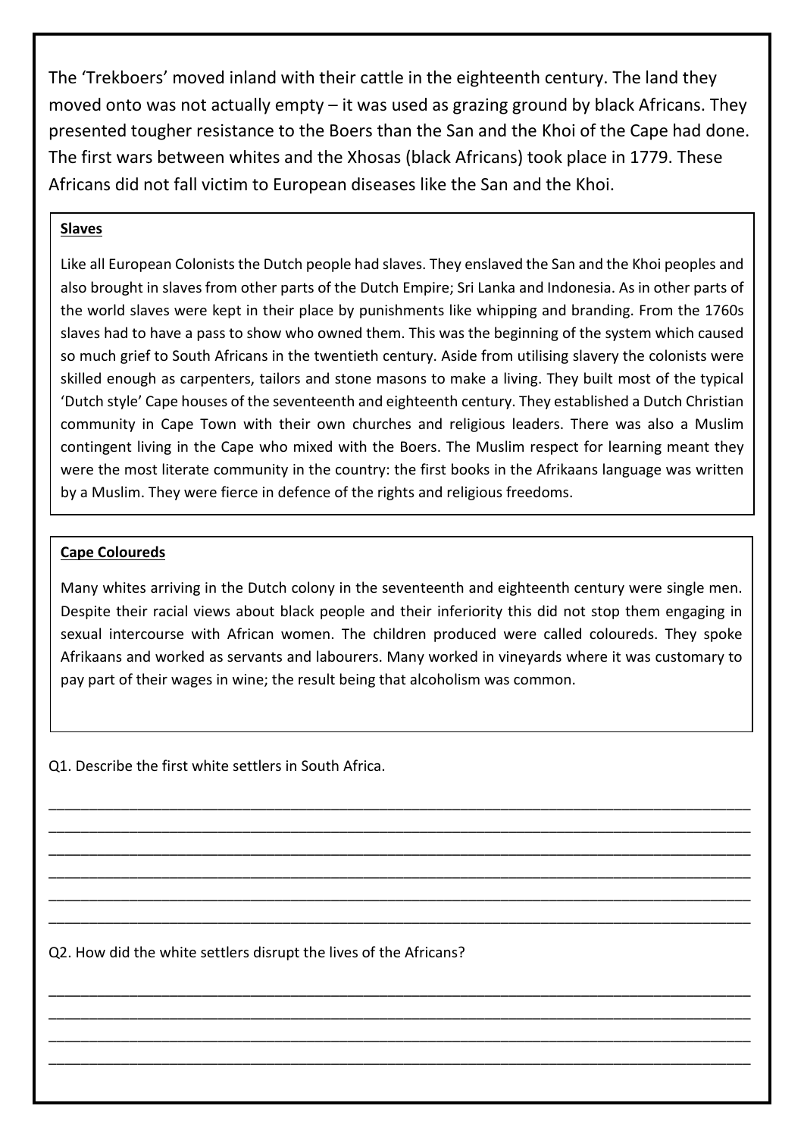The 'Trekboers' moved inland with their cattle in the eighteenth century. The land they moved onto was not actually empty – it was used as grazing ground by black Africans. They presented tougher resistance to the Boers than the San and the Khoi of the Cape had done. The first wars between whites and the Xhosas (black Africans) took place in 1779. These Africans did not fall victim to European diseases like the San and the Khoi.

#### **Slaves**

Like all European Colonists the Dutch people had slaves. They enslaved the San and the Khoi peoples and also brought in slaves from other parts of the Dutch Empire; Sri Lanka and Indonesia. As in other parts of the world slaves were kept in their place by punishments like whipping and branding. From the 1760s slaves had to have a pass to show who owned them. This was the beginning of the system which caused so much grief to South Africans in the twentieth century. Aside from utilising slavery the colonists were skilled enough as carpenters, tailors and stone masons to make a living. They built most of the typical 'Dutch style' Cape houses of the seventeenth and eighteenth century. They established a Dutch Christian community in Cape Town with their own churches and religious leaders. There was also a Muslim contingent living in the Cape who mixed with the Boers. The Muslim respect for learning meant they were the most literate community in the country: the first books in the Afrikaans language was written by a Muslim. They were fierce in defence of the rights and religious freedoms.

#### **Cape Coloureds**

Using the information of the information of the following the following the following  $\tau$ Many whites arriving in the Dutch colony in the seventeenth and eighteenth century were single men. Despite their racial views about black people and their inferiority this did not stop them engaging in sexual intercourse with African women. The children produced were called coloureds. They spoke Afrikaans and worked as servants and labourers. Many worked in vineyards where it was customary to pay part of their wages in wine; the result being that alcoholism was common.

\_\_\_\_\_\_\_\_\_\_\_\_\_\_\_\_\_\_\_\_\_\_\_\_\_\_\_\_\_\_\_\_\_\_\_\_\_\_\_\_\_\_\_\_\_\_\_\_\_\_\_\_\_\_\_\_\_\_\_\_\_\_\_\_\_\_\_\_\_\_\_\_\_\_\_\_\_\_\_\_\_\_\_\_\_\_\_ \_\_\_\_\_\_\_\_\_\_\_\_\_\_\_\_\_\_\_\_\_\_\_\_\_\_\_\_\_\_\_\_\_\_\_\_\_\_\_\_\_\_\_\_\_\_\_\_\_\_\_\_\_\_\_\_\_\_\_\_\_\_\_\_\_\_\_\_\_\_\_\_\_\_\_\_\_\_\_\_\_\_\_\_\_\_\_ \_\_\_\_\_\_\_\_\_\_\_\_\_\_\_\_\_\_\_\_\_\_\_\_\_\_\_\_\_\_\_\_\_\_\_\_\_\_\_\_\_\_\_\_\_\_\_\_\_\_\_\_\_\_\_\_\_\_\_\_\_\_\_\_\_\_\_\_\_\_\_\_\_\_\_\_\_\_\_\_\_\_\_\_\_\_\_ \_\_\_\_\_\_\_\_\_\_\_\_\_\_\_\_\_\_\_\_\_\_\_\_\_\_\_\_\_\_\_\_\_\_\_\_\_\_\_\_\_\_\_\_\_\_\_\_\_\_\_\_\_\_\_\_\_\_\_\_\_\_\_\_\_\_\_\_\_\_\_\_\_\_\_\_\_\_\_\_\_\_\_\_\_\_\_ \_\_\_\_\_\_\_\_\_\_\_\_\_\_\_\_\_\_\_\_\_\_\_\_\_\_\_\_\_\_\_\_\_\_\_\_\_\_\_\_\_\_\_\_\_\_\_\_\_\_\_\_\_\_\_\_\_\_\_\_\_\_\_\_\_\_\_\_\_\_\_\_\_\_\_\_\_\_\_\_\_\_\_\_\_\_\_ \_\_\_\_\_\_\_\_\_\_\_\_\_\_\_\_\_\_\_\_\_\_\_\_\_\_\_\_\_\_\_\_\_\_\_\_\_\_\_\_\_\_\_\_\_\_\_\_\_\_\_\_\_\_\_\_\_\_\_\_\_\_\_\_\_\_\_\_\_\_\_\_\_\_\_\_\_\_\_\_\_\_\_\_\_\_\_

\_\_\_\_\_\_\_\_\_\_\_\_\_\_\_\_\_\_\_\_\_\_\_\_\_\_\_\_\_\_\_\_\_\_\_\_\_\_\_\_\_\_\_\_\_\_\_\_\_\_\_\_\_\_\_\_\_\_\_\_\_\_\_\_\_\_\_\_\_\_\_\_\_\_\_\_\_\_\_\_\_\_\_\_\_\_\_ \_\_\_\_\_\_\_\_\_\_\_\_\_\_\_\_\_\_\_\_\_\_\_\_\_\_\_\_\_\_\_\_\_\_\_\_\_\_\_\_\_\_\_\_\_\_\_\_\_\_\_\_\_\_\_\_\_\_\_\_\_\_\_\_\_\_\_\_\_\_\_\_\_\_\_\_\_\_\_\_\_\_\_\_\_\_\_ \_\_\_\_\_\_\_\_\_\_\_\_\_\_\_\_\_\_\_\_\_\_\_\_\_\_\_\_\_\_\_\_\_\_\_\_\_\_\_\_\_\_\_\_\_\_\_\_\_\_\_\_\_\_\_\_\_\_\_\_\_\_\_\_\_\_\_\_\_\_\_\_\_\_\_\_\_\_\_\_\_\_\_\_\_\_\_ \_\_\_\_\_\_\_\_\_\_\_\_\_\_\_\_\_\_\_\_\_\_\_\_\_\_\_\_\_\_\_\_\_\_\_\_\_\_\_\_\_\_\_\_\_\_\_\_\_\_\_\_\_\_\_\_\_\_\_\_\_\_\_\_\_\_\_\_\_\_\_\_\_\_\_\_\_\_\_\_\_\_\_\_\_\_\_

Q1. Describe the first white settlers in South Africa.

Q2. How did the white settlers disrupt the lives of the Africans?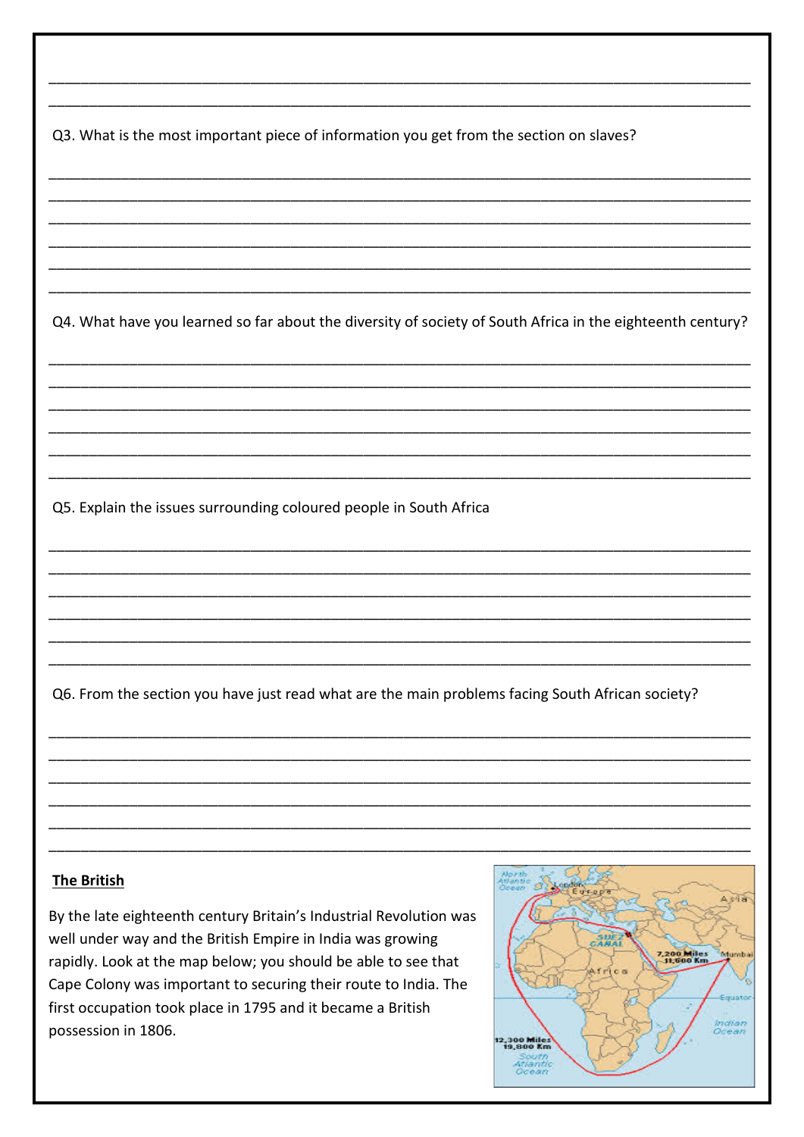Q3. What is the most important piece of information you get from the section on slaves?

Q4. What have you learned so far about the diversity of society of South Africa in the eighteenth century?

Q5. Explain the issues surrounding coloured people in South Africa

Q6. From the section you have just read what are the main problems facing South African society?

#### **The British**

By the late eighteenth century Britain's Industrial Revolution was well under way and the British Empire in India was growing rapidly. Look at the map below; you should be able to see that Cape Colony was important to securing their route to India. The first occupation took place in 1795 and it became a British possession in 1806.

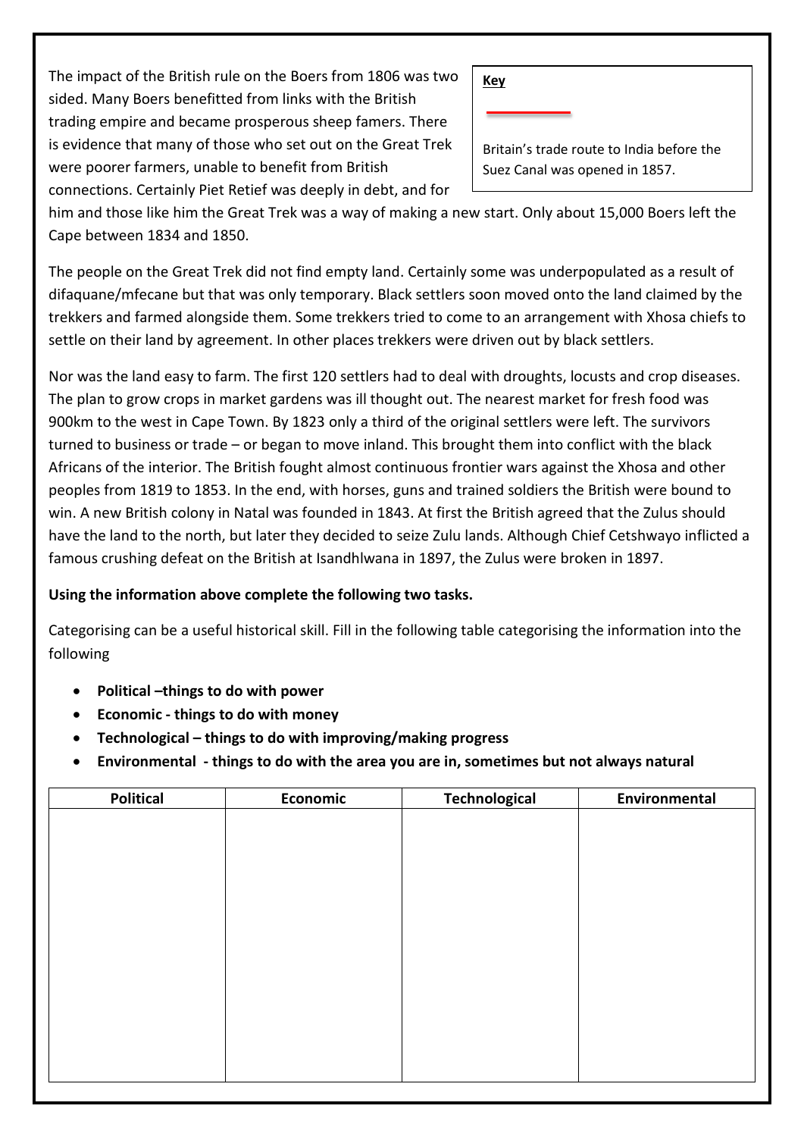The impact of the British rule on the Boers from 1806 was two sided. Many Boers benefitted from links with the British trading empire and became prosperous sheep famers. There is evidence that many of those who set out on the Great Trek were poorer farmers, unable to benefit from British connections. Certainly Piet Retief was deeply in debt, and for

Britain's trade route to India before the Suez Canal was opened in 1857.

him and those like him the Great Trek was a way of making a new start. Only about 15,000 Boers left the Cape between 1834 and 1850.

The people on the Great Trek did not find empty land. Certainly some was underpopulated as a result of difaquane/mfecane but that was only temporary. Black settlers soon moved onto the land claimed by the trekkers and farmed alongside them. Some trekkers tried to come to an arrangement with Xhosa chiefs to settle on their land by agreement. In other places trekkers were driven out by black settlers.

Nor was the land easy to farm. The first 120 settlers had to deal with droughts, locusts and crop diseases. The plan to grow crops in market gardens was ill thought out. The nearest market for fresh food was 900km to the west in Cape Town. By 1823 only a third of the original settlers were left. The survivors turned to business or trade – or began to move inland. This brought them into conflict with the black Africans of the interior. The British fought almost continuous frontier wars against the Xhosa and other peoples from 1819 to 1853. In the end, with horses, guns and trained soldiers the British were bound to win. A new British colony in Natal was founded in 1843. At first the British agreed that the Zulus should have the land to the north, but later they decided to seize Zulu lands. Although Chief Cetshwayo inflicted a famous crushing defeat on the British at Isandhlwana in 1897, the Zulus were broken in 1897.

#### **Using the information above complete the following two tasks.**

Categorising can be a useful historical skill. Fill in the following table categorising the information into the following

- **Political –things to do with power**
- **Economic - things to do with money**
- **Technological – things to do with improving/making progress**
- **Environmental - things to do with the area you are in, sometimes but not always natural**

| <b>Technological</b> | Environmental |
|----------------------|---------------|
|                      |               |
|                      |               |
|                      |               |
|                      |               |
|                      |               |
|                      |               |
|                      |               |
|                      |               |
|                      |               |
|                      |               |
|                      |               |
|                      |               |
|                      |               |
|                      |               |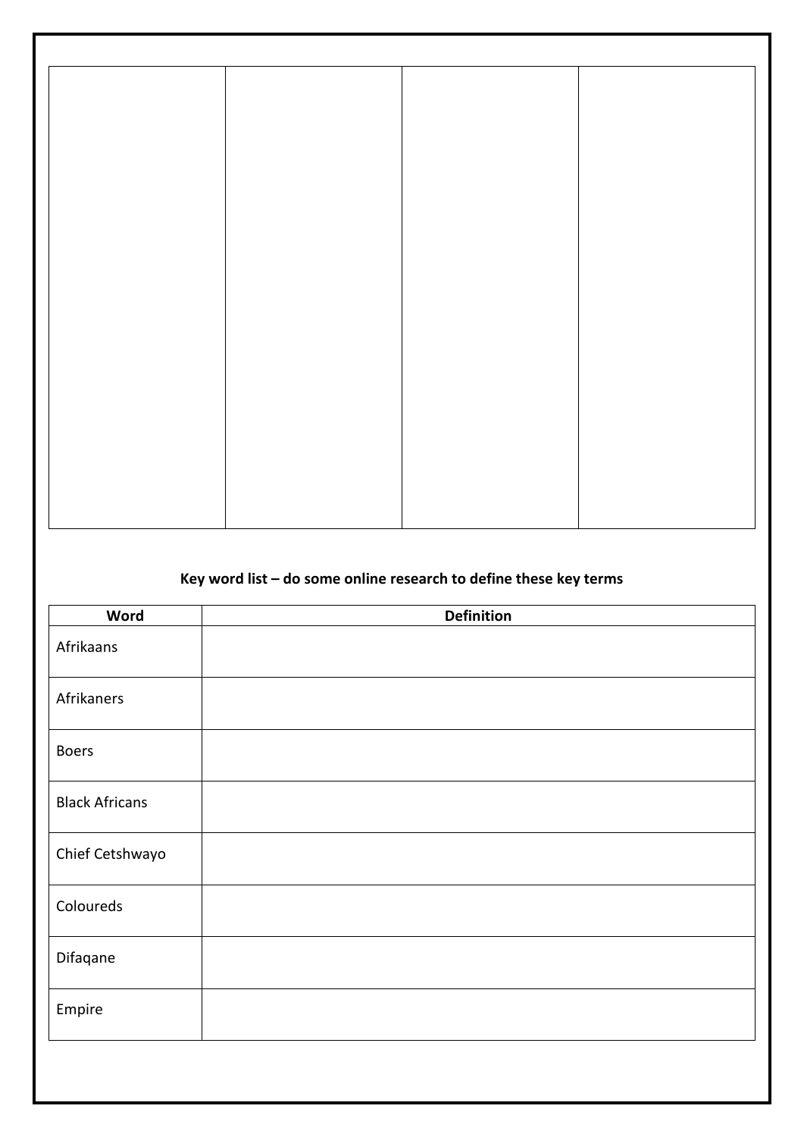#### **Key word list – do some online research to define these key terms**

| <b>Word</b>           | <b>Definition</b> |
|-----------------------|-------------------|
| Afrikaans             |                   |
| Afrikaners            |                   |
| <b>Boers</b>          |                   |
| <b>Black Africans</b> |                   |
| Chief Cetshwayo       |                   |
| Coloureds             |                   |
| Difaqane              |                   |
| Empire                |                   |
|                       |                   |